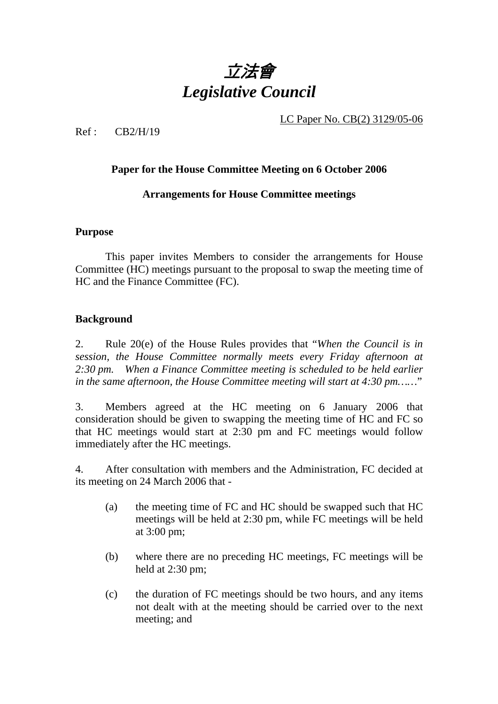

LC Paper No. CB(2) 3129/05-06

 $Ref: CR2/H/19$ 

## **Paper for the House Committee Meeting on 6 October 2006**

### **Arrangements for House Committee meetings**

### **Purpose**

This paper invites Members to consider the arrangements for House Committee (HC) meetings pursuant to the proposal to swap the meeting time of HC and the Finance Committee (FC).

### **Background**

2. Rule 20(e) of the House Rules provides that "*When the Council is in session, the House Committee normally meets every Friday afternoon at 2:30 pm. When a Finance Committee meeting is scheduled to be held earlier in the same afternoon, the House Committee meeting will start at 4:30 pm……*"

3. Members agreed at the HC meeting on 6 January 2006 that consideration should be given to swapping the meeting time of HC and FC so that HC meetings would start at 2:30 pm and FC meetings would follow immediately after the HC meetings.

4. After consultation with members and the Administration, FC decided at its meeting on 24 March 2006 that -

- (a) the meeting time of FC and HC should be swapped such that HC meetings will be held at 2:30 pm, while FC meetings will be held at 3:00 pm;
- (b) where there are no preceding HC meetings, FC meetings will be held at 2:30 pm;
- (c) the duration of FC meetings should be two hours, and any items not dealt with at the meeting should be carried over to the next meeting; and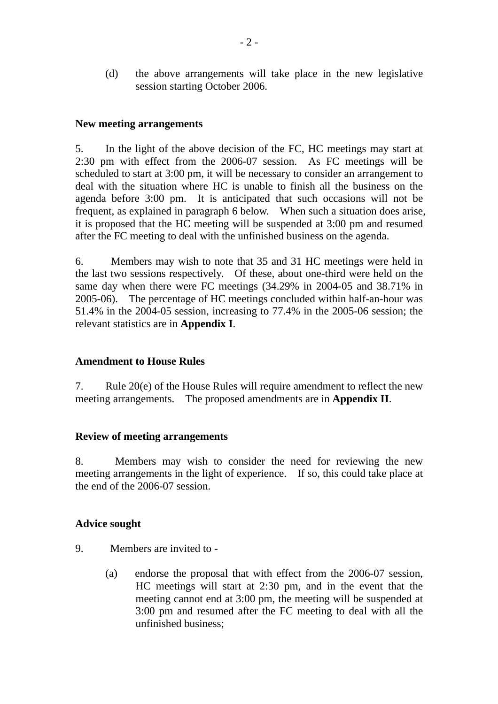(d) the above arrangements will take place in the new legislative session starting October 2006.

#### **New meeting arrangements**

5. In the light of the above decision of the FC, HC meetings may start at 2:30 pm with effect from the 2006-07 session. As FC meetings will be scheduled to start at 3:00 pm, it will be necessary to consider an arrangement to deal with the situation where HC is unable to finish all the business on the agenda before 3:00 pm. It is anticipated that such occasions will not be frequent, as explained in paragraph 6 below. When such a situation does arise, it is proposed that the HC meeting will be suspended at 3:00 pm and resumed after the FC meeting to deal with the unfinished business on the agenda.

6. Members may wish to note that 35 and 31 HC meetings were held in the last two sessions respectively. Of these, about one-third were held on the same day when there were FC meetings (34.29% in 2004-05 and 38.71% in 2005-06). The percentage of HC meetings concluded within half-an-hour was 51.4% in the 2004-05 session, increasing to 77.4% in the 2005-06 session; the relevant statistics are in **Appendix I**.

## **Amendment to House Rules**

7. Rule 20(e) of the House Rules will require amendment to reflect the new meeting arrangements. The proposed amendments are in **Appendix II**.

#### **Review of meeting arrangements**

8. Members may wish to consider the need for reviewing the new meeting arrangements in the light of experience. If so, this could take place at the end of the 2006-07 session.

#### **Advice sought**

- 9. Members are invited to
	- (a) endorse the proposal that with effect from the 2006-07 session, HC meetings will start at 2:30 pm, and in the event that the meeting cannot end at 3:00 pm, the meeting will be suspended at 3:00 pm and resumed after the FC meeting to deal with all the unfinished business;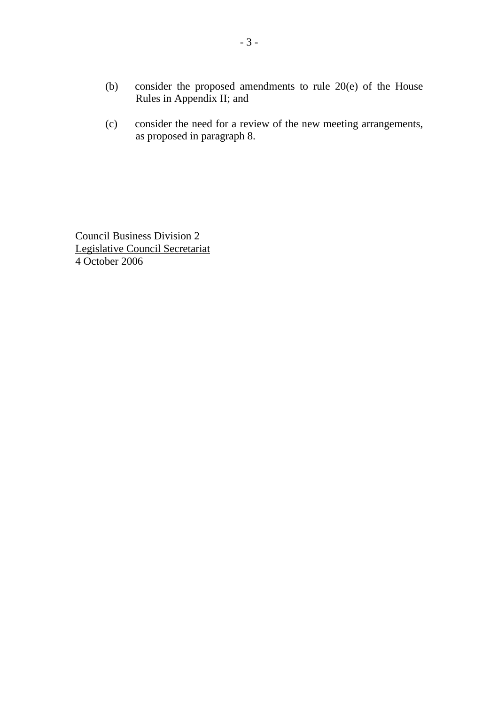- (b) consider the proposed amendments to rule 20(e) of the House Rules in Appendix II; and
- (c) consider the need for a review of the new meeting arrangements, as proposed in paragraph 8.

Council Business Division 2 Legislative Council Secretariat 4 October 2006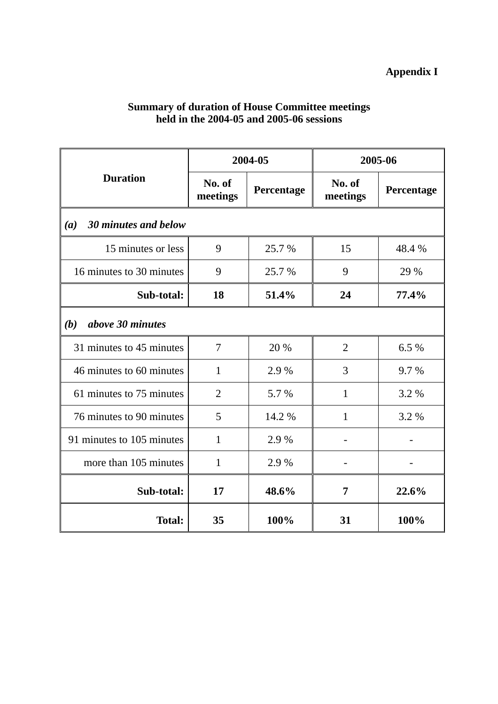# **Appendix I**

| <b>Duration</b>             | 2004-05            |            | 2005-06            |            |
|-----------------------------|--------------------|------------|--------------------|------------|
|                             | No. of<br>meetings | Percentage | No. of<br>meetings | Percentage |
| 30 minutes and below<br>(a) |                    |            |                    |            |
| 15 minutes or less          | 9                  | 25.7 %     | 15                 | 48.4%      |
| 16 minutes to 30 minutes    | 9                  | 25.7 %     | 9                  | 29 %       |
| Sub-total:                  | 18                 | 51.4%      | 24                 | 77.4%      |
| above 30 minutes<br>(b)     |                    |            |                    |            |
| 31 minutes to 45 minutes    | 7                  | 20 %       | $\overline{2}$     | 6.5%       |
| 46 minutes to 60 minutes    | $\mathbf{1}$       | 2.9%       | 3                  | 9.7 %      |
| 61 minutes to 75 minutes    | $\overline{2}$     | 5.7 %      | $\mathbf{1}$       | 3.2 %      |
| 76 minutes to 90 minutes    | 5                  | 14.2 %     | $\mathbf{1}$       | 3.2 %      |
| 91 minutes to 105 minutes   | $\mathbf{1}$       | 2.9 %      |                    |            |
| more than 105 minutes       | 1                  | 2.9 %      |                    |            |
| Sub-total:                  | 17                 | 48.6%      | 7                  | 22.6%      |
| <b>Total:</b>               | 35                 | 100%       | 31                 | 100%       |

## **Summary of duration of House Committee meetings held in the 2004-05 and 2005-06 sessions**